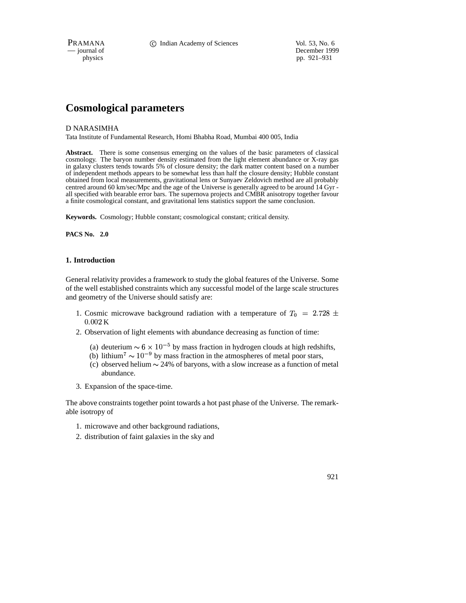PRAMANA **C** Indian Academy of Sciences Vol. 53, No. 6

— journal of December 1999 physics pp. 921–931

# **Cosmological parameters**

# D NARASIMHA

Tata Institute of Fundamental Research, Homi Bhabha Road, Mumbai 400 005, India

**Abstract.** There is some consensus emerging on the values of the basic parameters of classical cosmology. The baryon number density estimated from the light element abundance or X-ray gas in galaxy clusters tends towards 5% of closure density; the dark matter content based on a number of independent methods appears to be somewhat less than half the closure density; Hubble constant obtained from local measurements, gravitational lens or Sunyaev Zeldovich method are all probably centred around 60 km/sec/Mpc and the age of the Universe is generally agreed to be around 14 Gyr all specified with bearable error bars. The supernova projects and CMBR anisotropy together favour a finite cosmological constant, and gravitational lens statistics support the same conclusion.

**Keywords.** Cosmology; Hubble constant; cosmological constant; critical density.

**PACS No. 2.0**

# **1. Introduction**

General relativity provides a framework to study the global features of the Universe. Some of the well established constraints which any successful model of the large scale structures and geometry of the Universe should satisfy are:

- 1. Cosmic microwave background radiation with a temperature of  $T_0 = 2.728 \pm$  $0.002~\mathrm{K}$
- 2. Observation of light elements with abundance decreasing as function of time:
	- (a) deuterium  $\sim 6 \times 10^{-5}$  by mass fraction in hydrogen clouds at high redshifts,
	- (b) lithium<sup>7</sup>  $\sim 10^{-9}$  by mass fraction in the atmospheres of metal poor stars,
	- (c) observed helium  $\sim$  24% of baryons, with a slow increase as a function of metal abundance.
- 3. Expansion of the space-time.

The above constraints together point towards a hot past phase of the Universe. The remarkable isotropy of

- 1. microwave and other background radiations,
- 2. distribution of faint galaxies in the sky and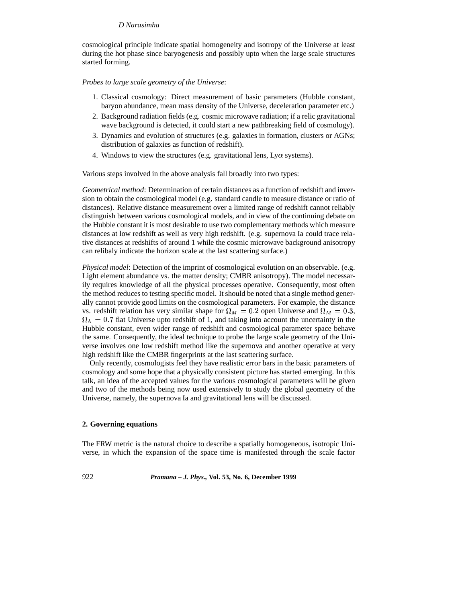cosmological principle indicate spatial homogeneity and isotropy of the Universe at least during the hot phase since baryogenesis and possibly upto when the large scale structures started forming.

# *Probes to large scale geometry of the Universe*:

- 1. Classical cosmology: Direct measurement of basic parameters (Hubble constant, baryon abundance, mean mass density of the Universe, deceleration parameter etc.)
- 2. Background radiation fields (e.g. cosmic microwave radiation; if a relic gravitational wave background is detected, it could start a new pathbreaking field of cosmology).
- 3. Dynamics and evolution of structures (e.g. galaxies in formation, clusters or AGNs; distribution of galaxies as function of redshift).
- 4. Windows to view the structures (e.g. gravitational lens,  $Ly\alpha$  systems).

Various steps involved in the above analysis fall broadly into two types:

*Geometrical method*: Determination of certain distances as a function of redshift and inversion to obtain the cosmological model (e.g. standard candle to measure distance or ratio of distances). Relative distance measurement over a limited range of redshift cannot reliably distinguish between various cosmological models, and in view of the continuing debate on the Hubble constant it is most desirable to use two complementary methods which measure distances at low redshift as well as very high redshift. (e.g. supernova Ia could trace relative distances at redshifts of around 1 while the cosmic microwave background anisotropy can relibaly indicate the horizon scale at the last scattering surface.)

*Physical model*: Detection of the imprint of cosmological evolution on an observable. (e.g. Light element abundance vs. the matter density; CMBR anisotropy). The model necessarily requires knowledge of all the physical processes operative. Consequently, most often the method reduces to testing specific model. It should be noted that a single method generally cannot provide good limits on the cosmological parameters. For example, the distance vs. redshift relation has very similar shape for  $\Omega_M = 0.2$  open Universe and  $\Omega_M = 0.3$ ,  $\Omega_{\Lambda} = 0.7$  flat Universe upto redshift of 1, and taking into account the uncertainty in the Hubble constant, even wider range of redshift and cosmological parameter space behave the same. Consequently, the ideal technique to probe the large scale geometry of the Universe involves one low redshift method like the supernova and another operative at very high redshift like the CMBR fingerprints at the last scattering surface.

Only recently, cosmologists feel they have realistic error bars in the basic parameters of cosmology and some hope that a physically consistent picture has started emerging. In this talk, an idea of the accepted values for the various cosmological parameters will be given and two of the methods being now used extensively to study the global geometry of the Universe, namely, the supernova Ia and gravitational lens will be discussed.

# **2. Governing equations**

The FRW metric is the natural choice to describe a spatially homogeneous, isotropic Universe, in which the expansion of the space time is manifested through the scale factor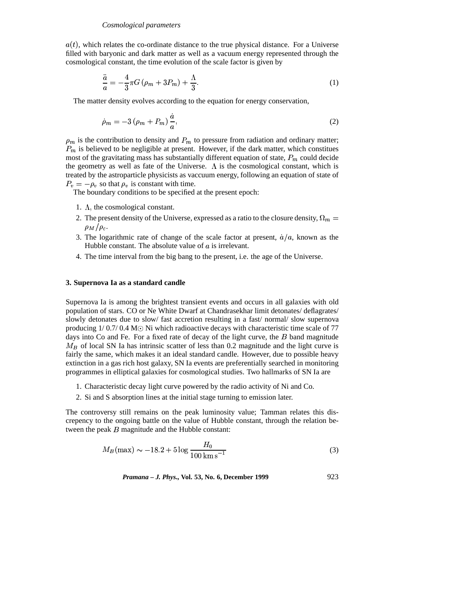$a(t)$ , which relates the co-ordinate distance to the true physical distance. For a Universe filled with baryonic and dark matter as well as a vacuum energy represented through the cosmological constant, the time evolution of the scale factor is given by

$$
\frac{\ddot{a}}{a} = -\frac{4}{3}\pi G\left(\rho_m + 3P_m\right) + \frac{\Lambda}{3}.\tag{1}
$$

The matter density evolves according to the equation for energy conservation,

$$
\dot{\rho}_m = -3\left(\rho_m + P_m\right)\frac{\dot{a}}{a},\tag{2}
$$

 $\rho_m$  is the contribution to density and  $P_m$  to pressure from radiation and ordinary matter;  $P_m$  is believed to be negligible at present. However, if the dark matter, which constitues most of the gravitating mass has substantially different equation of state,  $P_m$  could decide the geometry as well as fate of the Universe.  $\Lambda$  is the cosmological constant, which is treated by the astroparticle physicists as vaccuum energy, following an equation of state of  $P_v = -\rho_v$  so that  $\rho_v$  is constant with time.

The boundary conditions to be specified at the present epoch:

- 1.  $\Lambda$ , the cosmological constant.
- 2. The present density of the Universe, expressed as a ratio to the closure density,  $\Omega_m =$  $\rho_M/\rho_c$ .
- 3. The logarithmic rate of change of the scale factor at present,  $\dot{a}/a$ , known as the Hubble constant. The absolute value of  $a$  is irrelevant.
- 4. The time interval from the big bang to the present, i.e. the age of the Universe.

#### **3. Supernova Ia as a standard candle**

Supernova Ia is among the brightest transient events and occurs in all galaxies with old population of stars. CO or Ne White Dwarf at Chandrasekhar limit detonates/ deflagrates/ slowly detonates due to slow/ fast accretion resulting in a fast/ normal/ slow supernova producing  $1/0.7/0.4$  M $\odot$  Ni which radioactive decays with characteristic time scale of 77 days into Co and Fe. For a fixed rate of decay of the light curve, the  $B$  band magnitude  $M_B$  of local SN Ia has intrinsic scatter of less than 0.2 magnitude and the light curve is fairly the same, which makes it an ideal standard candle. However, due to possible heavy extinction in a gas rich host galaxy, SN Ia events are preferentially searched in monitoring programmes in elliptical galaxies for cosmological studies. Two hallmarks of SN Ia are

- 1. Characteristic decay light curve powered by the radio activity of Ni and Co.
- 2. Si and S absorption lines at the initial stage turning to emission later.

The controversy still remains on the peak luminosity value; Tamman relates this discrepency to the ongoing battle on the value of Hubble constant, through the relation between the peak  $B$  magnitude and the Hubble constant:

$$
M_B(\text{max}) \sim -18.2 + 5\log\frac{H_0}{100\,\text{km s}^{-1}}\tag{3}
$$

*Pramana – J. Phys.,* **Vol. 53, No. 6, December 1999** 923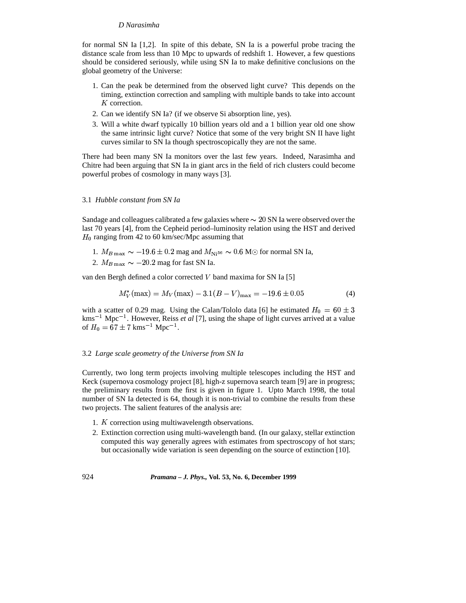for normal SN Ia [1,2]. In spite of this debate, SN Ia is a powerful probe tracing the distance scale from less than 10 Mpc to upwards of redshift 1. However, a few questions should be considered seriously, while using SN Ia to make definitive conclusions on the global geometry of the Universe:

- 1. Can the peak be determined from the observed light curve? This depends on the timing, extinction correction and sampling with multiple bands to take into account K correction.
- 2. Can we identify SN Ia? (if we observe Si absorption line, yes).
- 3. Will a white dwarf typically 10 billion years old and a 1 billion year old one show the same intrinsic light curve? Notice that some of the very bright SN II have light curves similar to SN Ia though spectroscopically they are not the same.

There had been many SN Ia monitors over the last few years. Indeed, Narasimha and Chitre had been arguing that SN Ia in giant arcs in the field of rich clusters could become powerful probes of cosmology in many ways [3].

# 3.1 *Hubble constant from SN Ia*

Sandage and colleagues calibrated a few galaxies where  $\sim 20$  SN Ia were observed over the last 70 years [4], from the Cepheid period–luminosity relation using the HST and derived  $H_0$  ranging from 42 to 60 km/sec/Mpc assuming that

- 1.  $M_{B\text{ max}} \sim -19.6 \pm 0.2$  mag and  $M_{\text{Ni}^{56}} \sim 0.6 \text{ M}\odot$  for normal SN Ia,
- 2.  $M_{B\,{\rm max}} \sim -20.2$  mag for fast SN Ia.

van den Bergh defined a color corrected  $V$  band maxima for SN Ia [5]

$$
M_V^*(\text{max}) = M_V(\text{max}) - 3.1(B - V)_{\text{max}} = -19.6 \pm 0.05 \tag{4}
$$

with a scatter of 0.29 mag. Using the Calan/Tololo data [6] he estimated  $H_0 = 60 \pm 3$ kms<sup>-1</sup> Mpc<sup>-1</sup>. However, Reiss *et al* [7], using the shape of light curves arrived at a value of  $H_0 = 67 \pm 7 \text{ km s}^{-1} \text{ Mpc}^{-1}$ .

#### 3.2 *Large scale geometry of the Universe from SN Ia*

Currently, two long term projects involving multiple telescopes including the HST and Keck (supernova cosmology project [8], high-z supernova search team [9] are in progress; the preliminary results from the first is given in figure 1. Upto March 1998, the total number of SN Ia detected is 64, though it is non-trivial to combine the results from these two projects. The salient features of the analysis are:

- 1.  $K$  correction using multiwavelength observations.
- 2. Extinction correction using multi-wavelength band. (In our galaxy, stellar extinction computed this way generally agrees with estimates from spectroscopy of hot stars; but occasionally wide variation is seen depending on the source of extinction [10].

924 *Pramana – J. Phys.,* **Vol. 53, No. 6, December 1999**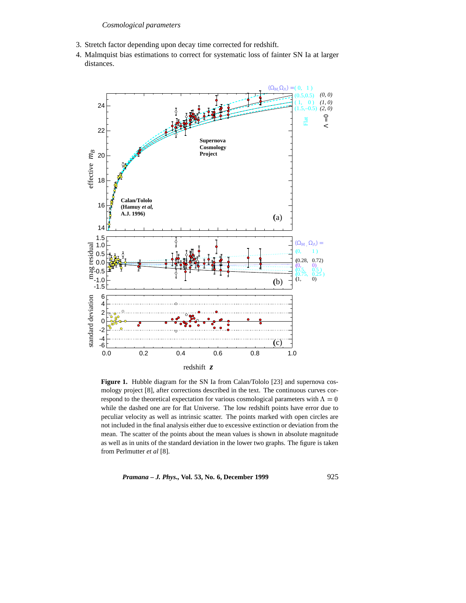- 3. Stretch factor depending upon decay time corrected for redshift.
- 4. Malmquist bias estimations to correct for systematic loss of fainter SN Ia at larger distances.



**Figure 1.** Hubble diagram for the SN Ia from Calan/Tololo [23] and supernova cosmology project [8], after corrections described in the text. The continuous curves correspond to the theoretical expectation for various cosmological parameters with  $\Lambda = 0$ while the dashed one are for flat Universe. The low redshift points have error due to peculiar velocity as well as intrinsic scatter. The points marked with open circles are not included in the final analysis either due to excessive extinction or deviation from the mean. The scatter of the points about the mean values is shown in absolute magnitude as well as in units of the standard deviation in the lower two graphs. The figure is taken from Perlmutter *et al* [8].

*Pramana – J. Phys.,* **Vol. 53, No. 6, December 1999** 925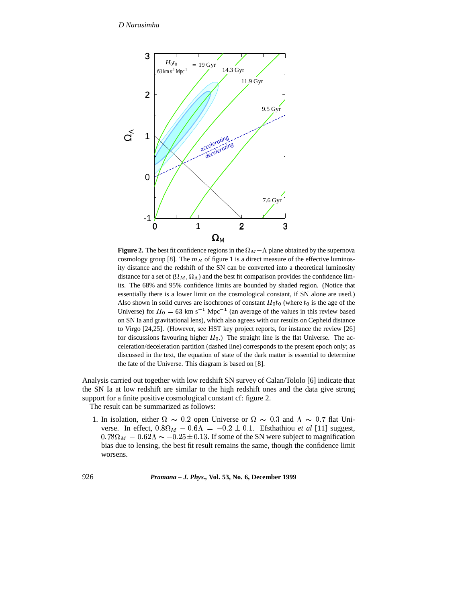

**Figure 2.** The best fit confidence regions in the  $\Omega_M - \Lambda$  plane obtained by the supernova cosmology group [8]. The  $m_B$  of figure 1 is a direct measure of the effective luminosity distance and the redshift of the SN can be converted into a theoretical luminosity distance for a set of  $(\Omega_M, \Omega_\Lambda)$  and the best fit comparison provides the confidence limits. The 68% and 95% confidence limits are bounded by shaded region. (Notice that essentially there is a lower limit on the cosmological constant, if SN alone are used.) Also shown in solid curves are isochrones of constant  $H_0 t_0$  (where  $t_0$  is the age of the Universe) for  $H_0 = 63 \text{ km s}^{-1} \text{ Mpc}^{-1}$  (an average of the values in this review based on SN Ia and gravitational lens), which also agrees with our results on Cepheid distance to Virgo [24,25]. (However, see HST key project reports, for instance the review [26] for discussions favouring higher  $H_0$ .) The straight line is the flat Universe. The acceleration/deceleration partition (dashed line) corresponds to the present epoch only; as discussed in the text, the equation of state of the dark matter is essential to determine the fate of the Universe. This diagram is based on [8].

Analysis carried out together with low redshift SN survey of Calan/Tololo [6] indicate that the SN Ia at low redshift are similar to the high redshift ones and the data give strong support for a finite positive cosmological constant cf: figure 2.

The result can be summarized as follows:

1. In isolation, either  $\Omega \sim 0.2$  open Universe or  $\Omega \sim 0.3$  and  $\Lambda \sim 0.7$  flat Universe. In effect,  $0.8\Omega_M - 0.6\Lambda = -0.2 \pm 0.1$ . Efsthathiou *et al* [11] suggest,  $0.78\Omega_M - 0.62\Lambda \sim -0.25 \pm 0.13$ . If some of the SN were subject to magnification bias due to lensing, the best fit result remains the same, though the confidence limit worsens.

926 *Pramana – J. Phys.,* **Vol. 53, No. 6, December 1999**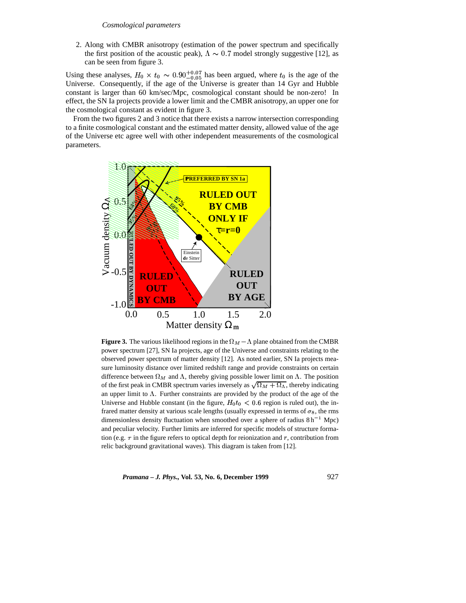2. Along with CMBR anisotropy (estimation of the power spectrum and specifically the first position of the acoustic peak),  $\Lambda \sim 0.7$  model strongly suggestive [12], as can be seen from figure 3.

Using these analyses,  $H_0 \times t_0 \sim 0.90^{+0.07}_{-0.05}$  has been argued, where  $t_0$  is the age of the Universe. Consequently, if the age of the Universe is greater than 14 Gyr and Hubble constant is larger than 60 km/sec/Mpc, cosmological constant should be non-zero! In effect, the SN Ia projects provide a lower limit and the CMBR anisotropy, an upper one for the cosmological constant as evident in figure 3.

From the two figures 2 and 3 notice that there exists a narrow intersection corresponding to a finite cosmological constant and the estimated matter density, allowed value of the age of the Universe etc agree well with other independent measurements of the cosmological parameters.



**Figure 3.** The various likelihood regions in the  $\Omega_M - \Lambda$  plane obtained from the CMBR power spectrum [27], SN Ia projects, age of the Universe and constraints relating to the observed power spectrum of matter density [12]. As noted earlier, SN Ia projects measure luminosity distance over limited redshift range and provide constraints on certain difference between  $\Omega_M$  and  $\Lambda$ , thereby giving possible lower limit on  $\Lambda$ . The position of the first peak in CMBR spectrum varies inversely as  $\sqrt{\Omega_M + \Omega_{\Lambda}}$ , thereby indicating an upper limit to  $\Lambda$ . Further constraints are provided by the product of the age of the Universe and Hubble constant (in the figure,  $H_0 t_0 < 0.6$  region is ruled out), the infrared matter density at various scale lengths (usually expressed in terms of  $\sigma_8$ , the rms dimensionless density fluctuation when smoothed over a sphere of radius  $8 h^{-1}$  Mpc) and peculiar velocity. Further limits are inferred for specific models of structure formation (e.g.  $\tau$  in the figure refers to optical depth for reionization and  $r$ , contribution from relic background gravitational waves). This diagram is taken from [12].

*Pramana – J. Phys.,* **Vol. 53, No. 6, December 1999** 927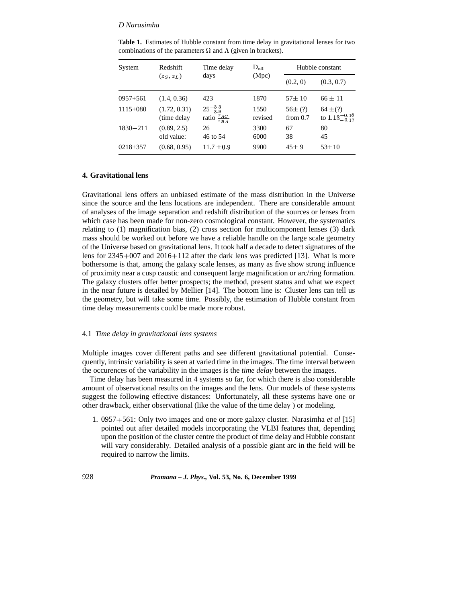| System       | Redshift<br>$(z_S, z_L)$    | Time delay<br>days                                         | $D_{\text{eff}}$<br>(Mpc) | Hubble constant          |                                           |
|--------------|-----------------------------|------------------------------------------------------------|---------------------------|--------------------------|-------------------------------------------|
|              |                             |                                                            |                           | (0.2, 0)                 | (0.3, 0.7)                                |
| $0957 + 561$ | (1.4, 0.36)                 | 423                                                        | 1870                      | $57 \pm 10$              | $66 \pm 11$                               |
| $1115+080$   | (1.72, 0.31)<br>(time delay | $25^{+3.3}_{-3.8}$<br>ratio $\frac{7AC}{4}$<br>$\tau_{BA}$ | 1550<br>revised           | $56\pm(?)$<br>from $0.7$ | $64 \pm (?)$<br>to $1.13^{+0.18}_{-0.17}$ |
| $1830 - 211$ | (0.89, 2.5)<br>old value:   | 26<br>46 to 54                                             | 3300<br>6000              | 67<br>38                 | 80<br>45                                  |
| $0218 + 357$ | (0.68, 0.95)                | $11.7 \pm 0.9$                                             | 9900                      | $45 \pm 9$               | $53 \pm 10$                               |

**Table 1.** Estimates of Hubble constant from time delay in gravitational lenses for two combinations of the parameters  $\Omega$  and  $\Lambda$  (given in brackets).

## **4. Gravitational lens**

Gravitational lens offers an unbiased estimate of the mass distribution in the Universe since the source and the lens locations are independent. There are considerable amount of analyses of the image separation and redshift distribution of the sources or lenses from which case has been made for non-zero cosmological constant. However, the systematics relating to (1) magnification bias, (2) cross section for multicomponent lenses (3) dark mass should be worked out before we have a reliable handle on the large scale geometry of the Universe based on gravitational lens. It took half a decade to detect signatures of the lens for 2345<sup>&</sup>lt; 007 and 2016<sup>&</sup>lt; 112 after the dark lens was predicted [13]. What is more bothersome is that, among the galaxy scale lenses, as many as five show strong influence of proximity near a cusp caustic and consequent large magnification or arc/ring formation. The galaxy clusters offer better prospects; the method, present status and what we expect in the near future is detailed by Mellier [14]. The bottom line is: Cluster lens can tell us the geometry, but will take some time. Possibly, the estimation of Hubble constant from time delay measurements could be made more robust.

#### 4.1 *Time delay in gravitational lens systems*

Multiple images cover different paths and see different gravitational potential. Consequently, intrinsic variability is seen at varied time in the images. The time interval between the occurences of the variability in the images is the *time delay* between the images.

Time delay has been measured in 4 systems so far, for which there is also considerable amount of observational results on the images and the lens. Our models of these systems suggest the following effective distances: Unfortunately, all these systems have one or other drawback, either observational (like the value of the time delay ) or modeling.

1. 0957<sup>&</sup>lt; 561: Only two images and one or more galaxy cluster. Narasimha *et al* [15] pointed out after detailed models incorporating the VLBI features that, depending upon the position of the cluster centre the product of time delay and Hubble constant will vary considerably. Detailed analysis of a possible giant arc in the field will be required to narrow the limits.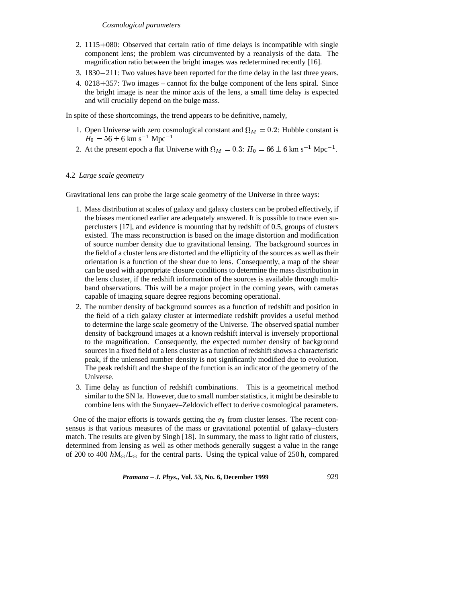## *Cosmological parameters*

- 2. 1115<sup>&</sup>lt; 080: Observed that certain ratio of time delays is incompatible with single component lens; the problem was circumvented by a reanalysis of the data. The magnification ratio between the bright images was redetermined recently [16].
- 3.  $1830-211$ : Two values have been reported for the time delay in the last three years.
- 4. 0218<sup>&</sup>lt; 357: Two images cannot fix the bulge component of the lens spiral. Since the bright image is near the minor axis of the lens, a small time delay is expected and will crucially depend on the bulge mass.

In spite of these shortcomings, the trend appears to be definitive, namely,

- 1. Open Universe with zero cosmological constant and  $\Omega_M = 0.2$ : Hubble constant is  $H_0 = 56 \pm 6$  km s<sup>-1</sup> Mpc<sup>-1</sup>
- 2. At the present epoch a flat Universe with  $\Omega_M = 0.3$ :  $H_0 = 66 \pm 6$  km s<sup>-1</sup> Mpc<sup>-1</sup>.

# 4.2 *Large scale geometry*

Gravitational lens can probe the large scale geometry of the Universe in three ways:

- 1. Mass distribution at scales of galaxy and galaxy clusters can be probed effectively, if the biases mentioned earlier are adequately answered. It is possible to trace even superclusters [17], and evidence is mounting that by redshift of 0.5, groups of clusters existed. The mass reconstruction is based on the image distortion and modification of source number density due to gravitational lensing. The background sources in the field of a cluster lens are distorted and the ellipticity of the sources as well as their orientation is a function of the shear due to lens. Consequently, a map of the shear can be used with appropriate closure conditions to determine the mass distribution in the lens cluster, if the redshift information of the sources is available through multiband observations. This will be a major project in the coming years, with cameras capable of imaging square degree regions becoming operational.
- 2. The number density of background sources as a function of redshift and position in the field of a rich galaxy cluster at intermediate redshift provides a useful method to determine the large scale geometry of the Universe. The observed spatial number density of background images at a known redshift interval is inversely proportional to the magnification. Consequently, the expected number density of background sourcesin a fixed field of a lens cluster as a function of redshift shows a characteristic peak, if the unlensed number density is not significantly modified due to evolution. The peak redshift and the shape of the function is an indicator of the geometry of the Universe.
- 3. Time delay as function of redshift combinations. This is a geometrical method similar to the SN Ia. However, due to small number statistics, it might be desirable to combine lens with the Sunyaev–Zeldovich effect to derive cosmological parameters.

One of the major efforts is towards getting the  $\sigma_8$  from cluster lenses. The recent consensus is that various measures of the mass or gravitational potential of galaxy–clusters match. The results are given by Singh [18]. In summary, the mass to light ratio of clusters, determined from lensing as well as other methods generally suggest a value in the range of 200 to 400  $h_{\text{M}_\odot}/\text{L}_\odot$  for the central parts. Using the typical value of 250 h, compared

*Pramana – J. Phys.,* **Vol. 53, No. 6, December 1999** 929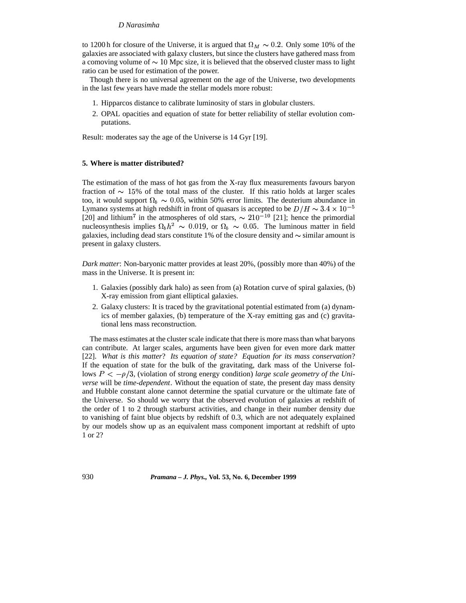to 1200 h for closure of the Universe, it is argued that  $\Omega_M \sim 0.2$ . Only some 10% of the galaxies are associated with galaxy clusters, but since the clusters have gathered mass from a comoving volume of  $\sim 10$  Mpc size, it is believed that the observed cluster mass to light ratio can be used for estimation of the power.

Though there is no universal agreement on the age of the Universe, two developments in the last few years have made the stellar models more robust:

- 1. Hipparcos distance to calibrate luminosity of stars in globular clusters.
- 2. OPAL opacities and equation of state for better reliability of stellar evolution computations.

Result: moderates say the age of the Universe is 14 Gyr [19].

## **5. Where is matter distributed?**

The estimation of the mass of hot gas from the X-ray flux measurements favours baryon fraction of  $\sim 15\%$  of the total mass of the cluster. If this ratio holds at larger scales too, it would support  $\Omega_b \sim 0.05$ , within 50% error limits. The deuterium abundance in Lyman $\alpha$  systems at high redshift in front of quasars is accepted to be  $D/H \sim 3.4 \times 10^{-5}$ [20] and lithium<sup>7</sup> in the atmospheres of old stars,  $\sim 210^{-10}$  [21]; hence the primordial nucleosynthesis implies  $\Omega_b h^2 \sim 0.019$ , or  $\Omega_b \sim 0.05$ . The luminous matter in field galaxies, including dead stars constitute 1% of the closure density and  $\sim$  similar amount is present in galaxy clusters.

*Dark matter*: Non-baryonic matter provides at least 20%, (possibly more than 40%) of the mass in the Universe. It is present in:

- 1. Galaxies (possibly dark halo) as seen from (a) Rotation curve of spiral galaxies, (b) X-ray emission from giant elliptical galaxies.
- 2. Galaxy clusters: It is traced by the gravitational potential estimated from (a) dynamics of member galaxies, (b) temperature of the X-ray emitting gas and (c) gravitational lens mass reconstruction.

The mass estimates at the cluster scale indicate that there is more mass than what baryons can contribute. At larger scales, arguments have been given for even more dark matter [22]. *What is this matter*? *Its equation of state? Equation for its mass conservation*? If the equation of state for the bulk of the gravitating, dark mass of the Universe follows  $P < -\rho/3$ , (violation of strong energy condition) *large scale geometry of the Universe* will be *time-dependent*. Without the equation of state, the present day mass density and Hubble constant alone cannot determine the spatial curvature or the ultimate fate of the Universe. So should we worry that the observed evolution of galaxies at redshift of the order of 1 to 2 through starburst activities, and change in their number density due to vanishing of faint blue objects by redshift of 0.3, which are not adequately explained by our models show up as an equivalent mass component important at redshift of upto 1 or 2?

930 *Pramana – J. Phys.,* **Vol. 53, No. 6, December 1999**